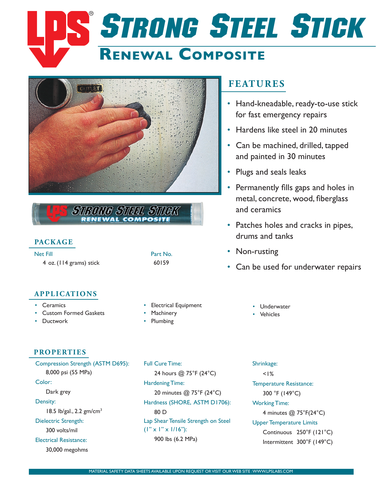# **Renewal Composite STRONG STEEL STICK**



UNG ST<u>IEL</u> STIGK NEWAL COMPOSIT

## **Package**

Net Fill Part No. 4 oz. (114 grams) stick 60159

## **applications**

- • Ceramics
- • Custom Formed Gaskets
- Ductwork
- **Electrical Equipment**
- **Machinery**
- **Plumbing**

# **Features**

- Hand-kneadable, ready-to-use stick for fast emergency repairs
- Hardens like steel in 20 minutes
- Can be machined, drilled, tapped and painted in 30 minutes
- Plugs and seals leaks
- Permanently fills gaps and holes in metal, concrete, wood, fiberglass and ceramics
- Patches holes and cracks in pipes, drums and tanks
- Non-rusting
- Can be used for underwater repairs
	- • Underwater
	- • Vehicles

## **Properties**

Compression Strength (ASTM D695): 8,000 psi (55 MPa) Color: Dark grey Density: 18.5 lb/gal., 2.2 gm/cm3 Dielectric Strength: 300 volts/mil Electrical Resistance: 30,000 megohms

Full Cure Time: 24 hours @ 75°F (24°C) Hardening Time: 20 minutes @ 75°F (24°C) Hardness (SHORE, ASTM D1706): 80 D Lap Shear Tensile Strength on Steel  $(1" \times 1" \times 1/16")$ : 900 lbs (6.2 MPa)

Shrinkage:  $< 1%$ Temperature Resistance: 300 °F (149°C) Working Time: 4 minutes @ 75°F(24°C) Upper Temperature Limits Continuous 250°F (121°C) Intermittent 300°F (149°C)